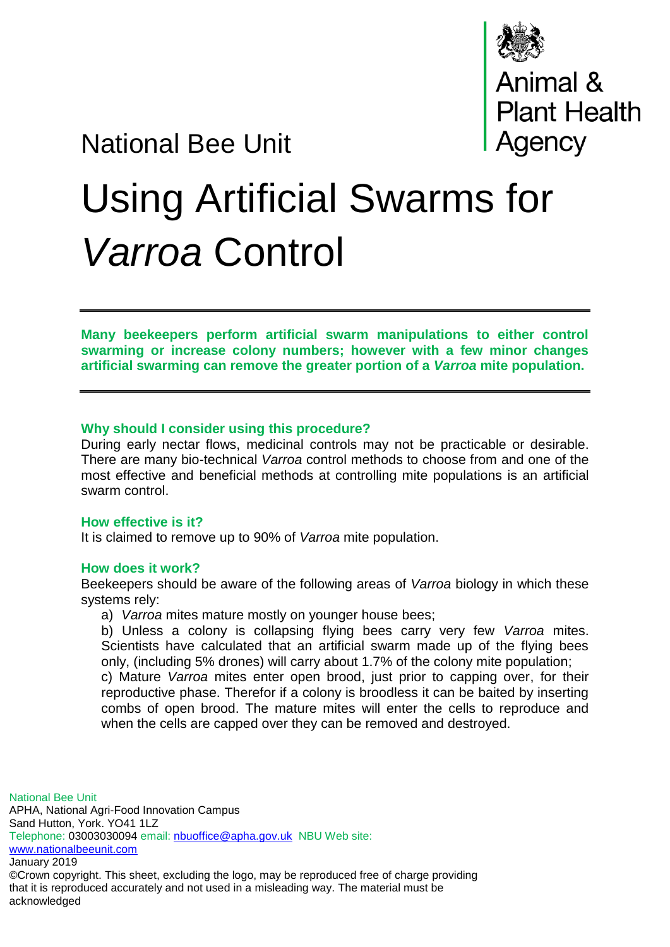

Animal &<br>Plant Health<br>Agency

# National Bee Unit

# Using Artificial Swarms for *Varroa* Control

**Many beekeepers perform artificial swarm manipulations to either control swarming or increase colony numbers; however with a few minor changes artificial swarming can remove the greater portion of a** *Varroa* **mite population.**

#### **Why should I consider using this procedure?**

During early nectar flows, medicinal controls may not be practicable or desirable. There are many bio-technical *Varroa* control methods to choose from and one of the most effective and beneficial methods at controlling mite populations is an artificial swarm control.

#### **How effective is it?**

It is claimed to remove up to 90% of *Varroa* mite population.

#### **How does it work?**

Beekeepers should be aware of the following areas of *Varroa* biology in which these systems rely:

a) *Varroa* mites mature mostly on younger house bees;

b) Unless a colony is collapsing flying bees carry very few *Varroa* mites. Scientists have calculated that an artificial swarm made up of the flying bees only, (including 5% drones) will carry about 1.7% of the colony mite population;

c) Mature *Varroa* mites enter open brood, just prior to capping over, for their reproductive phase. Therefor if a colony is broodless it can be baited by inserting combs of open brood. The mature mites will enter the cells to reproduce and when the cells are capped over they can be removed and destroyed.

National Bee Unit APHA, National Agri-Food Innovation Campus Sand Hutton, York. YO41 1LZ Telephone: 03003030094 email: [nbuoffice@apha.gov.uk](mailto:nbuoffice@apha.gov.uk) NBU Web site: [www.nationalbeeunit.com](http://www.nationalbeeunit.com/) January 2019 ©Crown copyright. This sheet, excluding the logo, may be reproduced free of charge providing that it is reproduced accurately and not used in a misleading way. The material must be

acknowledged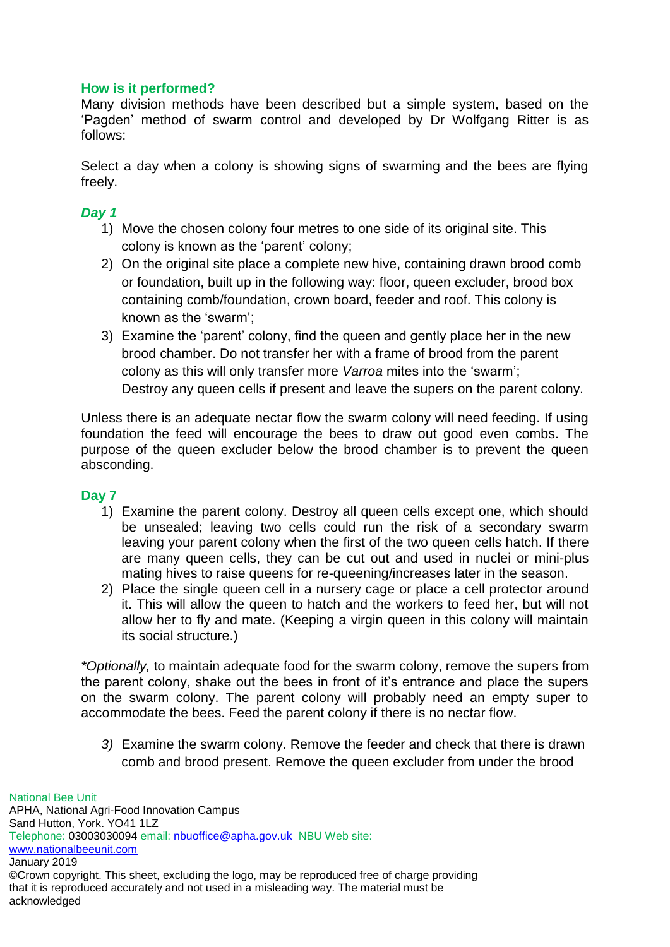#### **How is it performed?**

Many division methods have been described but a simple system, based on the 'Pagden' method of swarm control and developed by Dr Wolfgang Ritter is as follows:

Select a day when a colony is showing signs of swarming and the bees are flying freely.

### *Day 1*

- 1) Move the chosen colony four metres to one side of its original site. This colony is known as the 'parent' colony;
- 2) On the original site place a complete new hive, containing drawn brood comb or foundation, built up in the following way: floor, queen excluder, brood box containing comb/foundation, crown board, feeder and roof. This colony is known as the 'swarm';
- 3) Examine the 'parent' colony, find the queen and gently place her in the new brood chamber. Do not transfer her with a frame of brood from the parent colony as this will only transfer more *Varroa* mites into the 'swarm'; Destroy any queen cells if present and leave the supers on the parent colony.

Unless there is an adequate nectar flow the swarm colony will need feeding. If using foundation the feed will encourage the bees to draw out good even combs. The purpose of the queen excluder below the brood chamber is to prevent the queen absconding.

# **Day 7**

- 1) Examine the parent colony. Destroy all queen cells except one, which should be unsealed; leaving two cells could run the risk of a secondary swarm leaving your parent colony when the first of the two queen cells hatch. If there are many queen cells, they can be cut out and used in nuclei or mini-plus mating hives to raise queens for re-queening/increases later in the season.
- 2) Place the single queen cell in a nursery cage or place a cell protector around it. This will allow the queen to hatch and the workers to feed her, but will not allow her to fly and mate. (Keeping a virgin queen in this colony will maintain its social structure.)

*\*Optionally,* to maintain adequate food for the swarm colony, remove the supers from the parent colony, shake out the bees in front of it's entrance and place the supers on the swarm colony. The parent colony will probably need an empty super to accommodate the bees. Feed the parent colony if there is no nectar flow.

*3)* Examine the swarm colony. Remove the feeder and check that there is drawn comb and brood present. Remove the queen excluder from under the brood